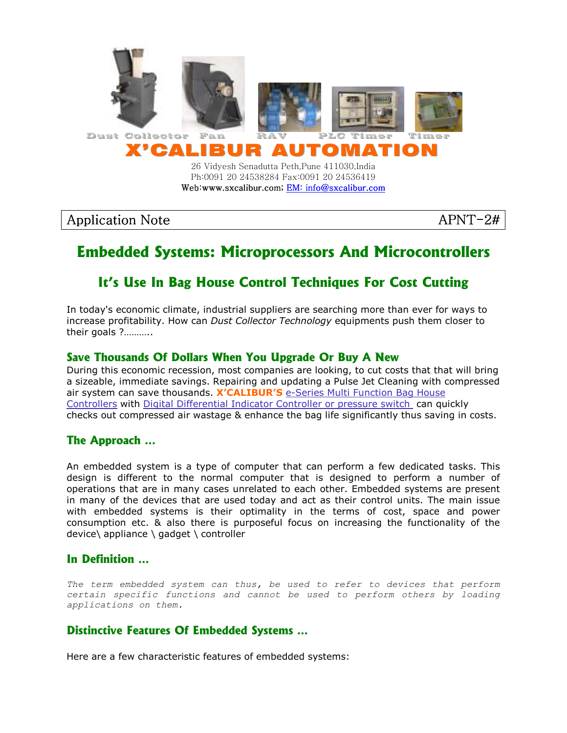

Ph:0091 20 24538284 Fax:0091 20 24536419 Web:www.sxcalibur.com; EM: info@sxcalibur.com

### Application Note APNT-2#

# **Embedded Systems: Microprocessors And Microcontrollers**

## **It's Use In Bag House Control Techniques For Cost Cutting**

In today's economic climate, industrial suppliers are searching more than ever for ways to increase profitability. How can Dust Collector Technology equipments push them closer to their goals ?………..

### **Save Thousands Of Dollars When You Upgrade Or Buy A New**

During this economic recession, most companies are looking, to cut costs that that will bring a sizeable, immediate savings. Repairing and updating a Pulse Jet Cleaning with compressed air system can save thousands. X'CALIBUR'S e-Series Multi Function Bag House Controllers with Digital Differential Indicator Controller or pressure switch can quickly checks out compressed air wastage & enhance the bag life significantly thus saving in costs.

#### **The Approach …**

An embedded system is a type of computer that can perform a few dedicated tasks. This design is different to the normal computer that is designed to perform a number of operations that are in many cases unrelated to each other. Embedded systems are present in many of the devices that are used today and act as their control units. The main issue with embedded systems is their optimality in the terms of cost, space and power consumption etc. & also there is purposeful focus on increasing the functionality of the device\ appliance \ gadget \ controller

#### **In Definition …**

The term embedded system can thus, be used to refer to devices that perform certain specific functions and cannot be used to perform others by loading applications on them.

### **Distinctive Features Of Embedded Systems …**

Here are a few characteristic features of embedded systems: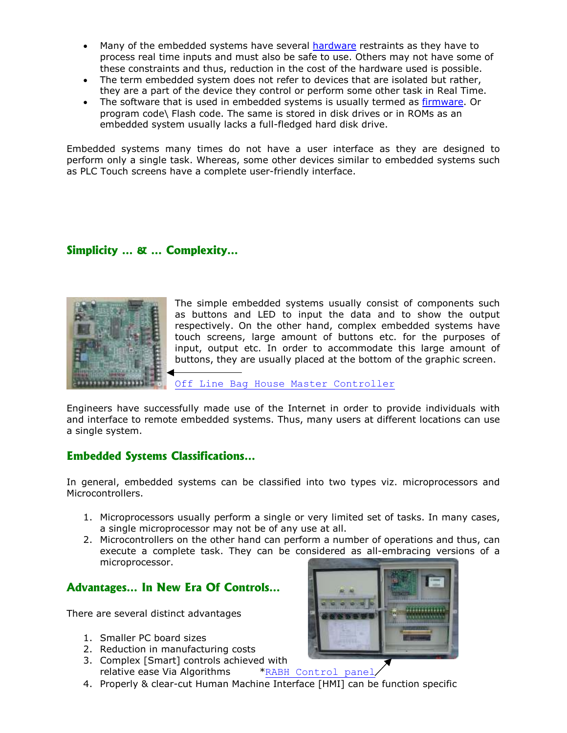- Many of the embedded systems have several hardware restraints as they have to process real time inputs and must also be safe to use. Others may not have some of these constraints and thus, reduction in the cost of the hardware used is possible.
- The term embedded system does not refer to devices that are isolated but rather, they are a part of the device they control or perform some other task in Real Time.
- The software that is used in embedded systems is usually termed as firmware. Or program code\ Flash code. The same is stored in disk drives or in ROMs as an embedded system usually lacks a full-fledged hard disk drive.

Embedded systems many times do not have a user interface as they are designed to perform only a single task. Whereas, some other devices similar to embedded systems such as PLC Touch screens have a complete user-friendly interface.

### **Simplicity … & … Complexity…**



The simple embedded systems usually consist of components such as buttons and LED to input the data and to show the output respectively. On the other hand, complex embedded systems have touch screens, large amount of buttons etc. for the purposes of input, output etc. In order to accommodate this large amount of buttons, they are usually placed at the bottom of the graphic screen.

Off Line Bag House Master Controller

Engineers have successfully made use of the Internet in order to provide individuals with and interface to remote embedded systems. Thus, many users at different locations can use a single system.

#### **Embedded Systems Classifications…**

In general, embedded systems can be classified into two types viz. microprocessors and Microcontrollers.

- 1. Microprocessors usually perform a single or very limited set of tasks. In many cases, a single microprocessor may not be of any use at all.
- 2. Microcontrollers on the other hand can perform a number of operations and thus, can execute a complete task. They can be considered as all-embracing versions of a microprocessor.

#### **Advantages… In New Era Of Controls…**

There are several distinct advantages

- 1. Smaller PC board sizes
- 2. Reduction in manufacturing costs
- 3. Complex [Smart] controls achieved with relative ease Via Algorithms \*RABH Control panel
- 4. Properly & clear-cut Human Machine Interface [HMI] can be function specific